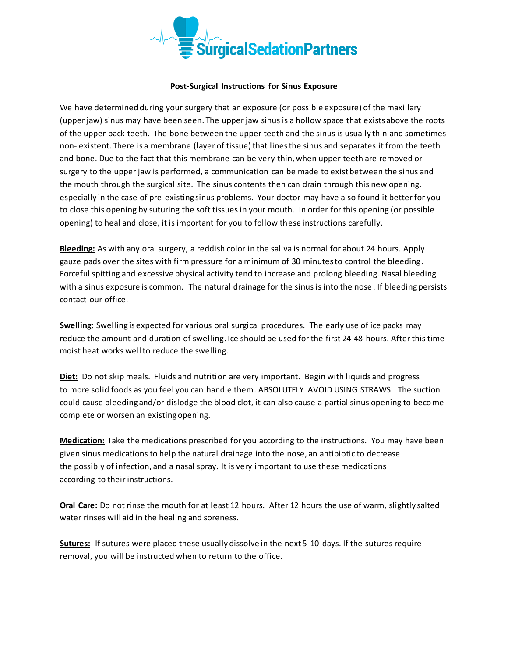

## **Post-Surgical Instructions for Sinus Exposure**

We have determined during your surgery that an exposure (or possible exposure) of the maxillary (upper jaw) sinus may have been seen. The upper jaw sinus is a hollow space that exists above the roots of the upper back teeth. The bone between the upper teeth and the sinus is usually thin and sometimes non- existent. There is a membrane (layer of tissue) that lines the sinus and separates it from the teeth and bone. Due to the fact that this membrane can be very thin, when upper teeth are removed or surgery to the upper jaw is performed, a communication can be made to exist between the sinus and the mouth through the surgical site. The sinus contents then can drain through this new opening, especially in the case of pre-existing sinus problems. Your doctor may have also found it better for you to close this opening by suturing the soft tissues in your mouth. In order for this opening (or possible opening) to heal and close, it is important for you to follow these instructions carefully.

**Bleeding:** As with any oral surgery, a reddish color in the saliva is normal for about 24 hours. Apply gauze pads over the sites with firm pressure for a minimum of 30 minutes to control the bleeding. Forceful spitting and excessive physical activity tend to increase and prolong bleeding. Nasal bleeding with a sinus exposure is common. The natural drainage for the sinus is into the nose . If bleeding persists contact our office.

**Swelling:** Swelling is expected for various oral surgical procedures. The early use of ice packs may reduce the amount and duration of swelling. Ice should be used for the first 24-48 hours. After this time moist heat works well to reduce the swelling.

**Diet:** Do not skip meals. Fluids and nutrition are very important. Begin with liquids and progress to more solid foods as you feel you can handle them. ABSOLUTELY AVOID USING STRAWS. The suction could cause bleeding and/or dislodge the blood clot, it can also cause a partial sinus opening to become complete or worsen an existing opening.

**Medication:** Take the medications prescribed for you according to the instructions. You may have been given sinus medications to help the natural drainage into the nose, an antibiotic to decrease the possibly of infection, and a nasal spray. It is very important to use these medications according to their instructions.

**Oral Care:** Do not rinse the mouth for at least 12 hours. After 12 hours the use of warm, slightly salted water rinses will aid in the healing and soreness.

**Sutures:** If sutures were placed these usually dissolve in the next 5-10 days. If the sutures require removal, you will be instructed when to return to the office.